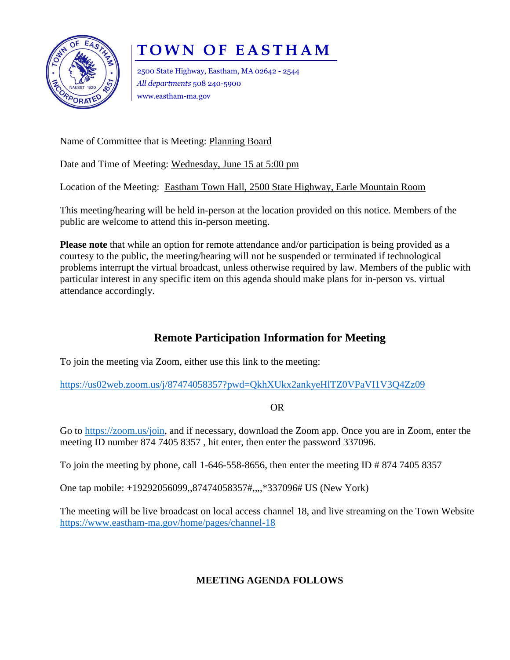

## **TOWN OF EASTHAM**

2500 State Highway, Eastham, MA 02642 - 2544 *All departments* 508 240-5900 www.eastham-ma.gov

Name of Committee that is Meeting: Planning Board

Date and Time of Meeting: Wednesday, June 15 at 5:00 pm

Location of the Meeting: Eastham Town Hall, 2500 State Highway, Earle Mountain Room

This meeting/hearing will be held in-person at the location provided on this notice. Members of the public are welcome to attend this in-person meeting.

**Please note** that while an option for remote attendance and/or participation is being provided as a courtesy to the public, the meeting/hearing will not be suspended or terminated if technological problems interrupt the virtual broadcast, unless otherwise required by law. Members of the public with particular interest in any specific item on this agenda should make plans for in-person vs. virtual attendance accordingly.

## **Remote Participation Information for Meeting**

To join the meeting via Zoom, either use this link to the meeting:

<https://us02web.zoom.us/j/87474058357?pwd=QkhXUkx2ankyeHlTZ0VPaVI1V3Q4Zz09>

OR

Go to [https://zoom.us/join,](https://zoom.us/join) and if necessary, download the Zoom app. Once you are in Zoom, enter the meeting ID number 874 7405 8357 , hit enter, then enter the password 337096.

To join the meeting by phone, call 1-646-558-8656, then enter the meeting ID  $\# 874 7405 8357$ 

One tap mobile: +19292056099,,87474058357#,,,,\*337096# US (New York)

The meeting will be live broadcast on local access channel 18, and live streaming on the Town Website <https://www.eastham-ma.gov/home/pages/channel-18>

## **MEETING AGENDA FOLLOWS**